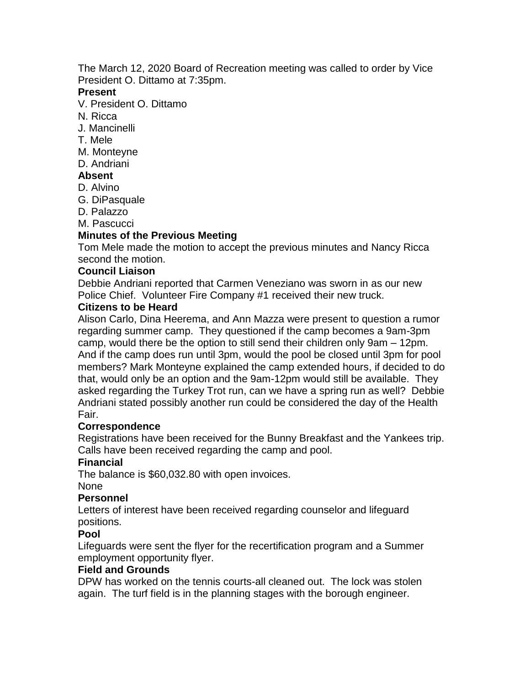The March 12, 2020 Board of Recreation meeting was called to order by Vice President O. Dittamo at 7:35pm.

### **Present**

V. President O. Dittamo

- N. Ricca
- J. Mancinelli
- T. Mele
- M. Monteyne
- D. Andriani

### **Absent**

- D. Alvino
- G. DiPasquale
- D. Palazzo
- M. Pascucci

# **Minutes of the Previous Meeting**

Tom Mele made the motion to accept the previous minutes and Nancy Ricca second the motion.

#### **Council Liaison**

Debbie Andriani reported that Carmen Veneziano was sworn in as our new Police Chief. Volunteer Fire Company #1 received their new truck.

#### **Citizens to be Heard**

Alison Carlo, Dina Heerema, and Ann Mazza were present to question a rumor regarding summer camp. They questioned if the camp becomes a 9am-3pm camp, would there be the option to still send their children only 9am – 12pm. And if the camp does run until 3pm, would the pool be closed until 3pm for pool members? Mark Monteyne explained the camp extended hours, if decided to do that, would only be an option and the 9am-12pm would still be available. They asked regarding the Turkey Trot run, can we have a spring run as well? Debbie Andriani stated possibly another run could be considered the day of the Health Fair.

### **Correspondence**

Registrations have been received for the Bunny Breakfast and the Yankees trip. Calls have been received regarding the camp and pool.

### **Financial**

The balance is \$60,032.80 with open invoices.

#### None

### **Personnel**

Letters of interest have been received regarding counselor and lifeguard positions.

### **Pool**

Lifeguards were sent the flyer for the recertification program and a Summer employment opportunity flyer.

### **Field and Grounds**

DPW has worked on the tennis courts-all cleaned out. The lock was stolen again. The turf field is in the planning stages with the borough engineer.